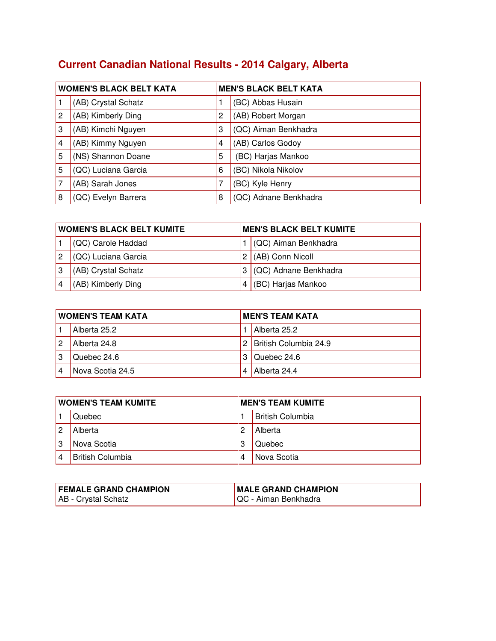## **Current Canadian National Results - 2014 Calgary, Alberta**

| <b>WOMEN'S BLACK BELT KATA</b> |                     |   | <b>MEN'S BLACK BELT KATA</b> |
|--------------------------------|---------------------|---|------------------------------|
|                                | (AB) Crystal Schatz |   | (BC) Abbas Husain            |
| 2                              | (AB) Kimberly Ding  | 2 | (AB) Robert Morgan           |
| 3                              | (AB) Kimchi Nguyen  | 3 | (QC) Aiman Benkhadra         |
| $\overline{4}$                 | (AB) Kimmy Nguyen   | 4 | (AB) Carlos Godoy            |
| 5                              | (NS) Shannon Doane  | 5 | (BC) Harjas Mankoo           |
| 5                              | (QC) Luciana Garcia | 6 | (BC) Nikola Nikolov          |
|                                | (AB) Sarah Jones    | 7 | (BC) Kyle Henry              |
| 8                              | (QC) Evelyn Barrera | 8 | (QC) Adnane Benkhadra        |

| <b>WOMEN'S BLACK BELT KUMITE</b> |                     | <b>MEN'S BLACK BELT KUMITE</b> |                         |
|----------------------------------|---------------------|--------------------------------|-------------------------|
|                                  | (QC) Carole Haddad  |                                | (QC) Aiman Benkhadra    |
|                                  | (QC) Luciana Garcia |                                | $2$ (AB) Conn Nicoll    |
|                                  | (AB) Crystal Schatz |                                | 3 (QC) Adnane Benkhadra |
|                                  | (AB) Kimberly Ding  |                                | (BC) Harjas Mankoo      |

| <b>WOMEN'S TEAM KATA</b> |                  | <b>MEN'S TEAM KATA</b> |                         |
|--------------------------|------------------|------------------------|-------------------------|
|                          | Alberta 25.2     |                        | Alberta 25.2            |
|                          | Alberta 24.8     |                        | 2 British Columbia 24.9 |
| 3                        | Quebec 24.6      |                        | 3 Quebec 24.6           |
| 4                        | Nova Scotia 24.5 | 4                      | Alberta 24.4            |

| <b>WOMEN'S TEAM KUMITE</b> |                         | <b>MEN'S TEAM KUMITE</b> |                         |
|----------------------------|-------------------------|--------------------------|-------------------------|
|                            | Quebec                  |                          | <b>British Columbia</b> |
| 2                          | Alberta                 | 2                        | Alberta                 |
|                            | Nova Scotia             | 3                        | Quebec                  |
|                            | <b>British Columbia</b> |                          | Nova Scotia             |

| <b>FEMALE GRAND CHAMPION</b> | <b>MALE GRAND CHAMPION</b>   |
|------------------------------|------------------------------|
| AB - Crystal Schatz          | <b>IQC - Aiman Benkhadra</b> |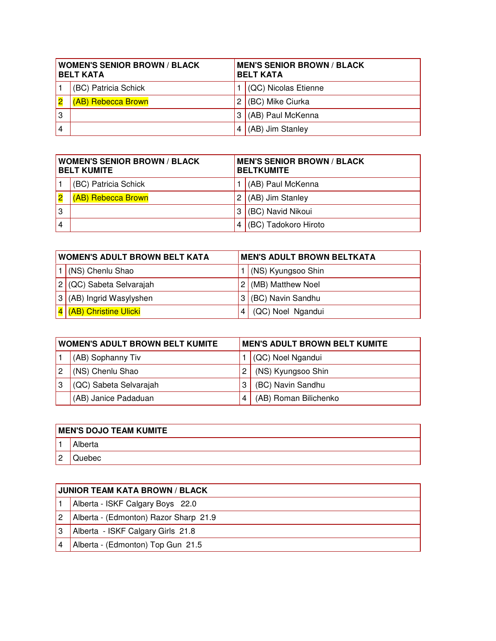| <b>WOMEN'S SENIOR BROWN / BLACK</b><br><b>BELT KATA</b> |                      | <b>MEN'S SENIOR BROWN / BLACK</b><br><b>BELT KATA</b> |                              |
|---------------------------------------------------------|----------------------|-------------------------------------------------------|------------------------------|
|                                                         | (BC) Patricia Schick |                                                       | $\vert$ (QC) Nicolas Etienne |
|                                                         | (AB) Rebecca Brown   | 2                                                     | $ $ (BC) Mike Ciurka         |
| 3                                                       |                      | 3                                                     | $(AB)$ Paul McKenna          |
| 4                                                       |                      | 4                                                     | $(AB)$ Jim Stanley           |

| <b>WOMEN'S SENIOR BROWN / BLACK</b><br><b>BELT KUMITE</b> |                      | <b>MEN'S SENIOR BROWN / BLACK</b><br><b>BELTKUMITE</b> |                      |
|-----------------------------------------------------------|----------------------|--------------------------------------------------------|----------------------|
|                                                           | (BC) Patricia Schick |                                                        | (AB) Paul McKenna    |
|                                                           | (AB) Rebecca Brown   |                                                        | 2 $(AB)$ Jim Stanley |
| 3                                                         |                      | 3                                                      | (BC) Navid Nikoui    |
| $\overline{4}$                                            |                      |                                                        | (BC) Tadokoro Hiroto |

| <b>WOMEN'S ADULT BROWN BELT KATA</b> |                              | <b>MEN'S ADULT BROWN BELTKATA</b> |                      |
|--------------------------------------|------------------------------|-----------------------------------|----------------------|
|                                      | (NS) Chenlu Shao             |                                   | 1 (NS) Kyungsoo Shin |
| 2 <sub>1</sub>                       | (QC) Sabeta Selvarajah       |                                   | (MB) Matthew Noel    |
| 3                                    | (AB) Ingrid Wasylyshen       |                                   | (BC) Navin Sandhu    |
|                                      | <b>(AB) Christine Ulicki</b> |                                   | (QC) Noel Ngandui    |

| <b>WOMEN'S ADULT BROWN BELT KUMITE</b> |                        | <b>MEN'S ADULT BROWN BELT KUMITE</b> |  |
|----------------------------------------|------------------------|--------------------------------------|--|
|                                        | (AB) Sophanny Tiv      | (QC) Noel Ngandui                    |  |
|                                        | (NS) Chenlu Shao       | (NS) Kyungsoo Shin                   |  |
|                                        | (QC) Sabeta Selvarajah | (BC) Navin Sandhu                    |  |
|                                        | (AB) Janice Padaduan   | (AB) Roman Bilichenko                |  |

|   | <b>MEN'S DOJO TEAM KUMITE</b> |  |  |  |
|---|-------------------------------|--|--|--|
|   | Alberta                       |  |  |  |
| 2 | Juebec                        |  |  |  |

| <b>JUNIOR TEAM KATA BROWN / BLACK</b> |  |  |
|---------------------------------------|--|--|
| Alberta - ISKF Calgary Boys 22.0      |  |  |
| Alberta - (Edmonton) Razor Sharp 21.9 |  |  |
| Alberta - ISKF Calgary Girls 21.8     |  |  |
| Alberta - (Edmonton) Top Gun 21.5     |  |  |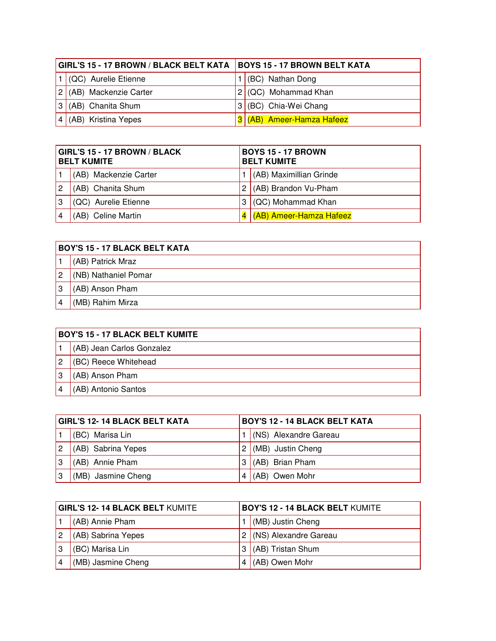| GIRL'S 15 - 17 BROWN / BLACK BELT KATA   BOYS 15 - 17 BROWN BELT KATA |                              |                           |  |  |
|-----------------------------------------------------------------------|------------------------------|---------------------------|--|--|
|                                                                       | $\vert$ (QC) Aurelie Etienne | 1 (BC) Nathan Dong        |  |  |
|                                                                       | 2 (AB) Mackenzie Carter      | $2$ (QC) Mohammad Khan    |  |  |
|                                                                       | $ 3 $ (AB) Chanita Shum      | 3 (BC) Chia-Wei Chang     |  |  |
|                                                                       | $ 4 $ (AB) Kristina Yepes    | 3 (AB) Ameer-Hamza Hafeez |  |  |

| GIRL'S 15 - 17 BROWN / BLACK<br><b>BELT KUMITE</b> |                       | <b>BOYS 15 - 17 BROWN</b><br><b>BELT KUMITE</b> |                         |
|----------------------------------------------------|-----------------------|-------------------------------------------------|-------------------------|
|                                                    | (AB) Mackenzie Carter |                                                 | (AB) Maximillian Grinde |
| 2                                                  | (AB) Chanita Shum     |                                                 | (AB) Brandon Vu-Pham    |
| 3                                                  | (QC) Aurelie Etienne  |                                                 | (QC) Mohammad Khan      |
|                                                    | (AB) Celine Martin    |                                                 | (AB) Ameer-Hamza Hafeez |

|   | <b>BOY'S 15 - 17 BLACK BELT KATA</b> |  |  |  |
|---|--------------------------------------|--|--|--|
|   | (AB) Patrick Mraz                    |  |  |  |
| 2 | (NB) Nathaniel Pomar                 |  |  |  |
| 3 | (AB) Anson Pham                      |  |  |  |
|   | (MB) Rahim Mirza                     |  |  |  |

| <b>BOY'S 15 - 17 BLACK BELT KUMITE</b> |  |  |
|----------------------------------------|--|--|
| (AB) Jean Carlos Gonzalez              |  |  |
| (BC) Reece Whitehead                   |  |  |
| (AB) Anson Pham                        |  |  |
| (AB) Antonio Santos                    |  |  |

| <b>GIRL'S 12-14 BLACK BELT KATA</b> |                    | <b>BOY'S 12 - 14 BLACK BELT KATA</b> |                       |
|-------------------------------------|--------------------|--------------------------------------|-----------------------|
|                                     | (BC) Marisa Lin    |                                      | (NS) Alexandre Gareau |
| 2                                   | (AB) Sabrina Yepes | 2 I                                  | (MB) Justin Cheng     |
| 3                                   | (AB) Annie Pham    |                                      | $3$ (AB) Brian Pham   |
| .3                                  | (MB) Jasmine Cheng | 4                                    | (AB) Owen Mohr        |

| GIRL'S 12- 14 BLACK BELT KUMITE |                    | <b>BOY'S 12 - 14 BLACK BELT KUMITE</b> |  |
|---------------------------------|--------------------|----------------------------------------|--|
|                                 | (AB) Annie Pham    | (MB) Justin Cheng                      |  |
|                                 | (AB) Sabrina Yepes | (NS) Alexandre Gareau                  |  |
|                                 | (BC) Marisa Lin    | (AB) Tristan Shum                      |  |
|                                 | (MB) Jasmine Cheng | (AB) Owen Mohr                         |  |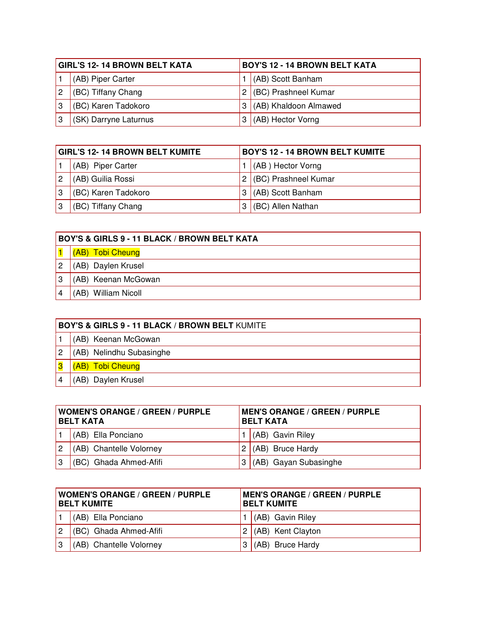| <b>GIRL'S 12- 14 BROWN BELT KATA</b> |                       | <b>BOY'S 12 - 14 BROWN BELT KATA</b> |                       |
|--------------------------------------|-----------------------|--------------------------------------|-----------------------|
|                                      | (AB) Piper Carter     |                                      | (AB) Scott Banham     |
|                                      | (BC) Tiffany Chang    |                                      | (BC) Prashneel Kumar  |
|                                      | (BC) Karen Tadokoro   |                                      | (AB) Khaldoon Almawed |
|                                      | (SK) Darryne Laturnus |                                      | (AB) Hector Vorng     |

| <b>GIRL'S 12-14 BROWN BELT KUMITE</b> |                     | <b>BOY'S 12 - 14 BROWN BELT KUMITE</b> |                        |
|---------------------------------------|---------------------|----------------------------------------|------------------------|
|                                       | (AB) Piper Carter   |                                        | (AB) Hector Vorng      |
| 2                                     | (AB) Guilia Rossi   |                                        | 2 (BC) Prashneel Kumar |
| 3                                     | (BC) Karen Tadokoro |                                        | $3$ (AB) Scott Banham  |
| 3                                     | (BC) Tiffany Chang  |                                        | (BC) Allen Nathan      |

|   | <b>BOY'S &amp; GIRLS 9 - 11 BLACK / BROWN BELT KATA</b> |  |  |  |  |
|---|---------------------------------------------------------|--|--|--|--|
|   | (AB) Tobi Cheung                                        |  |  |  |  |
| 2 | (AB) Daylen Krusel                                      |  |  |  |  |
| 3 | (AB) Keenan McGowan                                     |  |  |  |  |
|   | (AB) William Nicoll                                     |  |  |  |  |

|   | <b>BOY'S &amp; GIRLS 9 - 11 BLACK / BROWN BELT KUMITE</b> |  |  |  |  |
|---|-----------------------------------------------------------|--|--|--|--|
|   | (AB) Keenan McGowan                                       |  |  |  |  |
| 2 | (AB) Nelindhu Subasinghe                                  |  |  |  |  |
|   | (AB) Tobi Cheung                                          |  |  |  |  |
|   | (AB) Daylen Krusel                                        |  |  |  |  |

| <b>WOMEN'S ORANGE / GREEN / PURPLE</b><br><b>BELT KATA</b> |                         | <b>MEN'S ORANGE / GREEN / PURPLE</b><br><b>BELT KATA</b> |                         |  |
|------------------------------------------------------------|-------------------------|----------------------------------------------------------|-------------------------|--|
|                                                            | $(AB)$ Ella Ponciano    |                                                          | $(AB)$ Gavin Riley      |  |
| 2                                                          | (AB) Chantelle Volorney |                                                          | 2 $(AB)$ Bruce Hardy    |  |
| 3                                                          | (BC) Ghada Ahmed-Afifi  | 3                                                        | $(AB)$ Gayan Subasinghe |  |

| <b>WOMEN'S ORANGE / GREEN / PURPLE</b><br><b>BELT KUMITE</b> |                         | <b>MEN'S ORANGE / GREEN / PURPLE</b><br><b>BELT KUMITE</b> |                       |  |
|--------------------------------------------------------------|-------------------------|------------------------------------------------------------|-----------------------|--|
|                                                              | (AB) Ella Ponciano      |                                                            | $(AB)$ Gavin Riley    |  |
| 2                                                            | (BC) Ghada Ahmed-Afifi  |                                                            | $2$ (AB) Kent Clayton |  |
| 3                                                            | (AB) Chantelle Volorney |                                                            | $(AB)$ Bruce Hardy    |  |